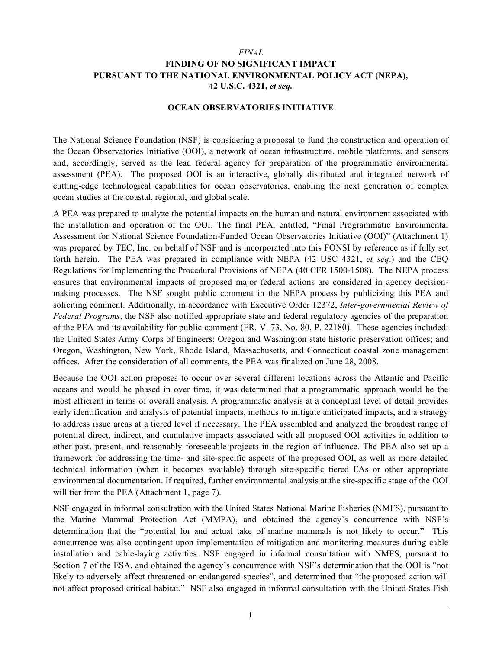#### *FINAL*

## **FINDING OF NO SIGNIFICANT IMPACT PURSUANT TO THE NATIONAL ENVIRONMENTAL POLICY ACT (NEPA), 42 U.S.C. 4321,** *et seq.*

#### **OCEAN OBSERVATORIES INITIATIVE**

The National Science Foundation (NSF) is considering a proposal to fund the construction and operation of the Ocean Observatories Initiative (OOI), a network of ocean infrastructure, mobile platforms, and sensors and, accordingly, served as the lead federal agency for preparation of the programmatic environmental assessment (PEA). The proposed OOI is an interactive, globally distributed and integrated network of cutting-edge technological capabilities for ocean observatories, enabling the next generation of complex ocean studies at the coastal, regional, and global scale.

A PEA was prepared to analyze the potential impacts on the human and natural environment associated with the installation and operation of the OOI. The final PEA, entitled, "Final Programmatic Environmental Assessment for National Science Foundation-Funded Ocean Observatories Initiative (OOI)" (Attachment 1) was prepared by TEC, Inc. on behalf of NSF and is incorporated into this FONSI by reference as if fully set forth herein. The PEA was prepared in compliance with NEPA (42 USC 4321, *et seq*.) and the CEQ Regulations for Implementing the Procedural Provisions of NEPA (40 CFR 1500-1508). The NEPA process ensures that environmental impacts of proposed major federal actions are considered in agency decisionmaking processes. The NSF sought public comment in the NEPA process by publicizing this PEA and soliciting comment. Additionally, in accordance with Executive Order 12372, *Inter-governmental Review of Federal Programs*, the NSF also notified appropriate state and federal regulatory agencies of the preparation of the PEA and its availability for public comment (FR. V. 73, No. 80, P. 22180). These agencies included: the United States Army Corps of Engineers; Oregon and Washington state historic preservation offices; and Oregon, Washington, New York, Rhode Island, Massachusetts, and Connecticut coastal zone management offices. After the consideration of all comments, the PEA was finalized on June 28, 2008.

Because the OOI action proposes to occur over several different locations across the Atlantic and Pacific oceans and would be phased in over time, it was determined that a programmatic approach would be the most efficient in terms of overall analysis. A programmatic analysis at a conceptual level of detail provides early identification and analysis of potential impacts, methods to mitigate anticipated impacts, and a strategy to address issue areas at a tiered level if necessary. The PEA assembled and analyzed the broadest range of potential direct, indirect, and cumulative impacts associated with all proposed OOI activities in addition to other past, present, and reasonably foreseeable projects in the region of influence. The PEA also set up a framework for addressing the time- and site-specific aspects of the proposed OOI, as well as more detailed technical information (when it becomes available) through site-specific tiered EAs or other appropriate environmental documentation. If required, further environmental analysis at the site-specific stage of the OOI will tier from the PEA (Attachment 1, page 7).

NSF engaged in informal consultation with the United States National Marine Fisheries (NMFS), pursuant to the Marine Mammal Protection Act (MMPA), and obtained the agency's concurrence with NSF's determination that the "potential for and actual take of marine mammals is not likely to occur." This concurrence was also contingent upon implementation of mitigation and monitoring measures during cable installation and cable-laying activities. NSF engaged in informal consultation with NMFS, pursuant to Section 7 of the ESA, and obtained the agency's concurrence with NSF's determination that the OOI is "not likely to adversely affect threatened or endangered species", and determined that "the proposed action will not affect proposed critical habitat." NSF also engaged in informal consultation with the United States Fish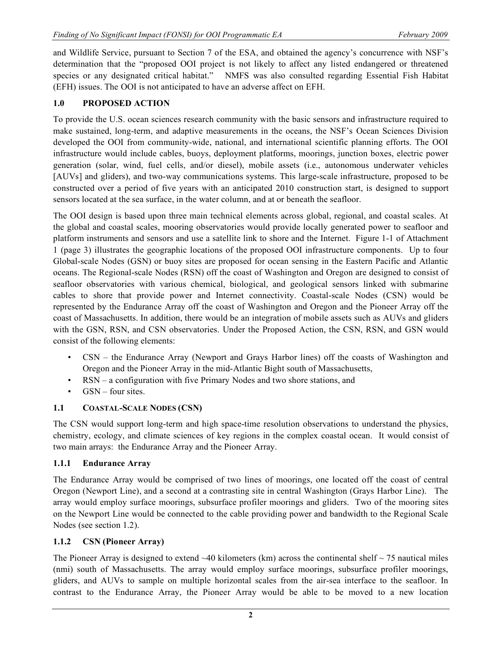and Wildlife Service, pursuant to Section 7 of the ESA, and obtained the agency's concurrence with NSF's determination that the "proposed OOI project is not likely to affect any listed endangered or threatened species or any designated critical habitat." NMFS was also consulted regarding Essential Fish Habitat (EFH) issues. The OOI is not anticipated to have an adverse affect on EFH.

# **1.0 PROPOSED ACTION**

To provide the U.S. ocean sciences research community with the basic sensors and infrastructure required to make sustained, long-term, and adaptive measurements in the oceans, the NSF's Ocean Sciences Division developed the OOI from community-wide, national, and international scientific planning efforts. The OOI infrastructure would include cables, buoys, deployment platforms, moorings, junction boxes, electric power generation (solar, wind, fuel cells, and/or diesel), mobile assets (i.e., autonomous underwater vehicles [AUVs] and gliders), and two-way communications systems. This large-scale infrastructure, proposed to be constructed over a period of five years with an anticipated 2010 construction start, is designed to support sensors located at the sea surface, in the water column, and at or beneath the seafloor.

The OOI design is based upon three main technical elements across global, regional, and coastal scales. At the global and coastal scales, mooring observatories would provide locally generated power to seafloor and platform instruments and sensors and use a satellite link to shore and the Internet. Figure 1-1 of Attachment 1 (page 3) illustrates the geographic locations of the proposed OOI infrastructure components. Up to four Global-scale Nodes (GSN) or buoy sites are proposed for ocean sensing in the Eastern Pacific and Atlantic oceans. The Regional-scale Nodes (RSN) off the coast of Washington and Oregon are designed to consist of seafloor observatories with various chemical, biological, and geological sensors linked with submarine cables to shore that provide power and Internet connectivity. Coastal-scale Nodes (CSN) would be represented by the Endurance Array off the coast of Washington and Oregon and the Pioneer Array off the coast of Massachusetts. In addition, there would be an integration of mobile assets such as AUVs and gliders with the GSN, RSN, and CSN observatories. Under the Proposed Action, the CSN, RSN, and GSN would consist of the following elements:

- CSN the Endurance Array (Newport and Grays Harbor lines) off the coasts of Washington and Oregon and the Pioneer Array in the mid-Atlantic Bight south of Massachusetts,
- RSN a configuration with five Primary Nodes and two shore stations, and
- GSN four sites.

## **1.1 COASTAL-SCALE NODES (CSN)**

The CSN would support long-term and high space-time resolution observations to understand the physics, chemistry, ecology, and climate sciences of key regions in the complex coastal ocean. It would consist of two main arrays: the Endurance Array and the Pioneer Array.

## **1.1.1 Endurance Array**

The Endurance Array would be comprised of two lines of moorings, one located off the coast of central Oregon (Newport Line), and a second at a contrasting site in central Washington (Grays Harbor Line). The array would employ surface moorings, subsurface profiler moorings and gliders. Two of the mooring sites on the Newport Line would be connected to the cable providing power and bandwidth to the Regional Scale Nodes (see section 1.2).

## **1.1.2 CSN (Pioneer Array)**

The Pioneer Array is designed to extend  $\sim$ 40 kilometers (km) across the continental shelf  $\sim$  75 nautical miles (nmi) south of Massachusetts. The array would employ surface moorings, subsurface profiler moorings, gliders, and AUVs to sample on multiple horizontal scales from the air-sea interface to the seafloor. In contrast to the Endurance Array, the Pioneer Array would be able to be moved to a new location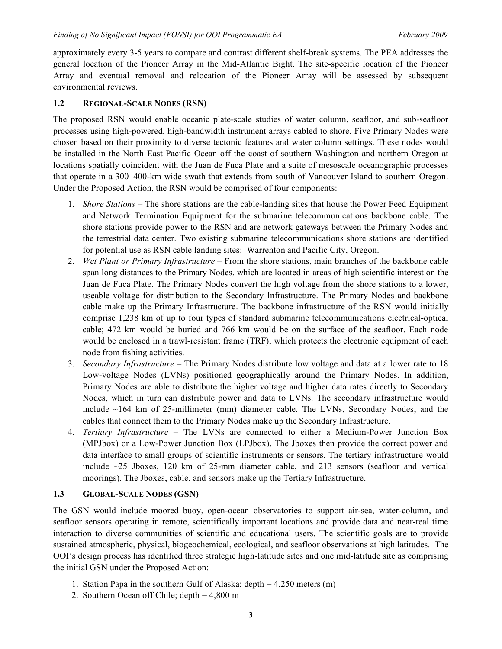approximately every 3-5 years to compare and contrast different shelf-break systems. The PEA addresses the general location of the Pioneer Array in the Mid-Atlantic Bight. The site-specific location of the Pioneer Array and eventual removal and relocation of the Pioneer Array will be assessed by subsequent environmental reviews.

# **1.2 REGIONAL-SCALE NODES (RSN)**

The proposed RSN would enable oceanic plate-scale studies of water column, seafloor, and sub-seafloor processes using high-powered, high-bandwidth instrument arrays cabled to shore. Five Primary Nodes were chosen based on their proximity to diverse tectonic features and water column settings. These nodes would be installed in the North East Pacific Ocean off the coast of southern Washington and northern Oregon at locations spatially coincident with the Juan de Fuca Plate and a suite of mesoscale oceanographic processes that operate in a 300–400-km wide swath that extends from south of Vancouver Island to southern Oregon. Under the Proposed Action, the RSN would be comprised of four components:

- 1. *Shore Stations* The shore stations are the cable-landing sites that house the Power Feed Equipment and Network Termination Equipment for the submarine telecommunications backbone cable. The shore stations provide power to the RSN and are network gateways between the Primary Nodes and the terrestrial data center. Two existing submarine telecommunications shore stations are identified for potential use as RSN cable landing sites: Warrenton and Pacific City, Oregon.
- 2. *Wet Plant or Primary Infrastructure* From the shore stations, main branches of the backbone cable span long distances to the Primary Nodes, which are located in areas of high scientific interest on the Juan de Fuca Plate. The Primary Nodes convert the high voltage from the shore stations to a lower, useable voltage for distribution to the Secondary Infrastructure. The Primary Nodes and backbone cable make up the Primary Infrastructure. The backbone infrastructure of the RSN would initially comprise 1,238 km of up to four types of standard submarine telecommunications electrical-optical cable; 472 km would be buried and 766 km would be on the surface of the seafloor. Each node would be enclosed in a trawl-resistant frame (TRF), which protects the electronic equipment of each node from fishing activities.
- 3. *Secondary Infrastructure* The Primary Nodes distribute low voltage and data at a lower rate to 18 Low-voltage Nodes (LVNs) positioned geographically around the Primary Nodes. In addition, Primary Nodes are able to distribute the higher voltage and higher data rates directly to Secondary Nodes, which in turn can distribute power and data to LVNs. The secondary infrastructure would include ~164 km of 25-millimeter (mm) diameter cable. The LVNs, Secondary Nodes, and the cables that connect them to the Primary Nodes make up the Secondary Infrastructure.
- 4. *Tertiary Infrastructure* The LVNs are connected to either a Medium-Power Junction Box (MPJbox) or a Low-Power Junction Box (LPJbox). The Jboxes then provide the correct power and data interface to small groups of scientific instruments or sensors. The tertiary infrastructure would include ~25 Jboxes, 120 km of 25-mm diameter cable, and 213 sensors (seafloor and vertical moorings). The Jboxes, cable, and sensors make up the Tertiary Infrastructure.

## **1.3 GLOBAL-SCALE NODES (GSN)**

The GSN would include moored buoy, open-ocean observatories to support air-sea, water-column, and seafloor sensors operating in remote, scientifically important locations and provide data and near-real time interaction to diverse communities of scientific and educational users. The scientific goals are to provide sustained atmospheric, physical, biogeochemical, ecological, and seafloor observations at high latitudes. The OOI's design process has identified three strategic high-latitude sites and one mid-latitude site as comprising the initial GSN under the Proposed Action:

- 1. Station Papa in the southern Gulf of Alaska; depth = 4,250 meters (m)
- 2. Southern Ocean off Chile; depth = 4,800 m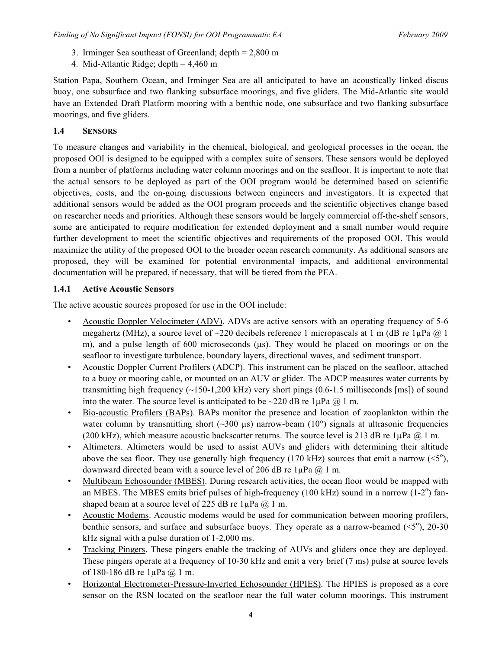- 3. Irminger Sea southeast of Greenland; depth = 2,800 m
- 4. Mid-Atlantic Ridge; depth = 4,460 m

Station Papa, Southern Ocean, and Irminger Sea are all anticipated to have an acoustically linked discus buoy, one subsurface and two flanking subsurface moorings, and five gliders. The Mid-Atlantic site would have an Extended Draft Platform mooring with a benthic node, one subsurface and two flanking subsurface moorings, and five gliders.

# **1.4 SENSORS**

To measure changes and variability in the chemical, biological, and geological processes in the ocean, the proposed OOI is designed to be equipped with a complex suite of sensors. These sensors would be deployed from a number of platforms including water column moorings and on the seafloor. It is important to note that the actual sensors to be deployed as part of the OOI program would be determined based on scientific objectives, costs, and the on-going discussions between engineers and investigators. It is expected that additional sensors would be added as the OOI program proceeds and the scientific objectives change based on researcher needs and priorities. Although these sensors would be largely commercial off-the-shelf sensors, some are anticipated to require modification for extended deployment and a small number would require further development to meet the scientific objectives and requirements of the proposed OOI. This would maximize the utility of the proposed OOI to the broader ocean research community. As additional sensors are proposed, they will be examined for potential environmental impacts, and additional environmental documentation will be prepared, if necessary, that will be tiered from the PEA.

# **1.4.1 Active Acoustic Sensors**

The active acoustic sources proposed for use in the OOI include:

- Acoustic Doppler Velocimeter (ADV). ADVs are active sensors with an operating frequency of 5-6 megahertz (MHz), a source level of  $\sim$ 220 decibels reference 1 micropascals at 1 m (dB re 1 $\mu$ Pa @ 1 m), and a pulse length of 600 microseconds  $(\mu s)$ . They would be placed on moorings or on the seafloor to investigate turbulence, boundary layers, directional waves, and sediment transport.
- Acoustic Doppler Current Profilers (ADCP). This instrument can be placed on the seafloor, attached to a buoy or mooring cable, or mounted on an AUV or glider. The ADCP measures water currents by transmitting high frequency  $(\sim] 150-1,200$  kHz) very short pings (0.6-1.5 milliseconds [ms]) of sound into the water. The source level is anticipated to be  $\sim$ 220 dB re 1µPa @ 1 m.
- Bio-acoustic Profilers (BAPs). BAPs monitor the presence and location of zooplankton within the water column by transmitting short  $(\sim 300 \text{ }\mu\text{s})$  narrow-beam  $(10^{\circ})$  signals at ultrasonic frequencies (200 kHz), which measure acoustic backscatter returns. The source level is 213 dB re  $1\mu$ Pa  $\omega$  1 m.
- Altimeters. Altimeters would be used to assist AUVs and gliders with determining their altitude above the sea floor. They use generally high frequency (170 kHz) sources that emit a narrow  $(<5^{\circ}$ ), downward directed beam with a source level of 206 dB re  $1\mu Pa$   $@$  1 m.
- Multibeam Echosounder (MBES). During research activities, the ocean floor would be mapped with an MBES. The MBES emits brief pulses of high-frequency (100 kHz) sound in a narrow (1-2 $^{\circ}$ ) fanshaped beam at a source level of 225 dB re  $1\mu Pa$   $@$  1 m.
- Acoustic Modems. Acoustic modems would be used for communication between mooring profilers, benthic sensors, and surface and subsurface buoys. They operate as a narrow-beamed  $( $5^{\circ}$ ), 20-30$ kHz signal with a pulse duration of 1-2,000 ms.
- Tracking Pingers. These pingers enable the tracking of AUVs and gliders once they are deployed. These pingers operate at a frequency of 10-30 kHz and emit a very brief (7 ms) pulse at source levels of 180-186 dB re 1µPa @ 1 m.
- Horizontal Electrometer-Pressure-Inverted Echosounder (HPIES). The HPIES is proposed as a core sensor on the RSN located on the seafloor near the full water column moorings. This instrument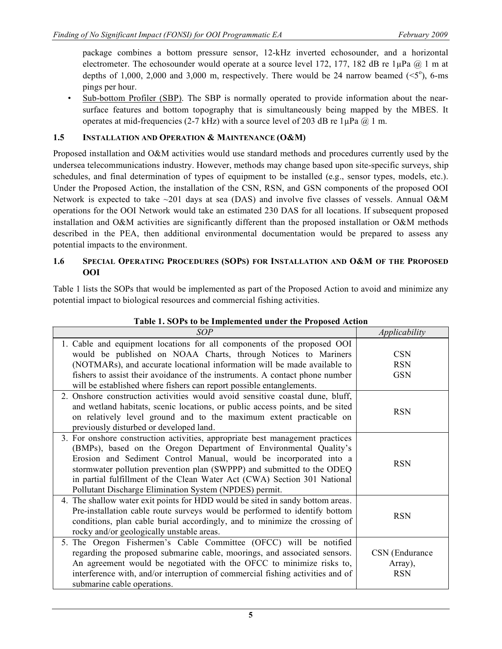package combines a bottom pressure sensor, 12-kHz inverted echosounder, and a horizontal electrometer. The echosounder would operate at a source level 172, 177, 182 dB re  $1\mu$ Pa @ 1 m at depths of 1,000, 2,000 and 3,000 m, respectively. There would be 24 narrow beamed  $( $5^{\circ}$ ), 6-ms$ pings per hour.

• Sub-bottom Profiler (SBP). The SBP is normally operated to provide information about the nearsurface features and bottom topography that is simultaneously being mapped by the MBES. It operates at mid-frequencies (2-7 kHz) with a source level of 203 dB re  $1\mu Pa$  @ 1 m.

# **1.5 INSTALLATION AND OPERATION & MAINTENANCE (O&M)**

Proposed installation and O&M activities would use standard methods and procedures currently used by the undersea telecommunications industry. However, methods may change based upon site-specific surveys, ship schedules, and final determination of types of equipment to be installed (e.g., sensor types, models, etc.). Under the Proposed Action, the installation of the CSN, RSN, and GSN components of the proposed OOI Network is expected to take  $\sim$ 201 days at sea (DAS) and involve five classes of vessels. Annual O&M operations for the OOI Network would take an estimated 230 DAS for all locations. If subsequent proposed installation and O&M activities are significantly different than the proposed installation or O&M methods described in the PEA, then additional environmental documentation would be prepared to assess any potential impacts to the environment.

#### **1.6 SPECIAL OPERATING PROCEDURES (SOPS) FOR INSTALLATION AND O&M OF THE PROPOSED OOI**

Table 1 lists the SOPs that would be implemented as part of the Proposed Action to avoid and minimize any potential impact to biological resources and commercial fishing activities.

| <b>SOP</b>                                                                                                                                                                                                                                                                                                                                                                                                                              | Applicability                           |
|-----------------------------------------------------------------------------------------------------------------------------------------------------------------------------------------------------------------------------------------------------------------------------------------------------------------------------------------------------------------------------------------------------------------------------------------|-----------------------------------------|
| 1. Cable and equipment locations for all components of the proposed OOI                                                                                                                                                                                                                                                                                                                                                                 |                                         |
| would be published on NOAA Charts, through Notices to Mariners                                                                                                                                                                                                                                                                                                                                                                          | <b>CSN</b>                              |
| (NOTMARs), and accurate locational information will be made available to                                                                                                                                                                                                                                                                                                                                                                | <b>RSN</b>                              |
| fishers to assist their avoidance of the instruments. A contact phone number                                                                                                                                                                                                                                                                                                                                                            | <b>GSN</b>                              |
| will be established where fishers can report possible entanglements.                                                                                                                                                                                                                                                                                                                                                                    |                                         |
| 2. Onshore construction activities would avoid sensitive coastal dune, bluff,<br>and wetland habitats, scenic locations, or public access points, and be sited<br>on relatively level ground and to the maximum extent practicable on<br>previously disturbed or developed land.                                                                                                                                                        | <b>RSN</b>                              |
| 3. For onshore construction activities, appropriate best management practices<br>(BMPs), based on the Oregon Department of Environmental Quality's<br>Erosion and Sediment Control Manual, would be incorporated into a<br>stormwater pollution prevention plan (SWPPP) and submitted to the ODEQ<br>in partial fulfillment of the Clean Water Act (CWA) Section 301 National<br>Pollutant Discharge Elimination System (NPDES) permit. | <b>RSN</b>                              |
| 4. The shallow water exit points for HDD would be sited in sandy bottom areas.<br>Pre-installation cable route surveys would be performed to identify bottom<br>conditions, plan cable burial accordingly, and to minimize the crossing of<br>rocky and/or geologically unstable areas.                                                                                                                                                 | <b>RSN</b>                              |
| 5. The Oregon Fishermen's Cable Committee (OFCC) will be notified<br>regarding the proposed submarine cable, moorings, and associated sensors.<br>An agreement would be negotiated with the OFCC to minimize risks to,<br>interference with, and/or interruption of commercial fishing activities and of<br>submarine cable operations.                                                                                                 | CSN (Endurance<br>Array),<br><b>RSN</b> |

**Table 1. SOPs to be Implemented under the Proposed Action**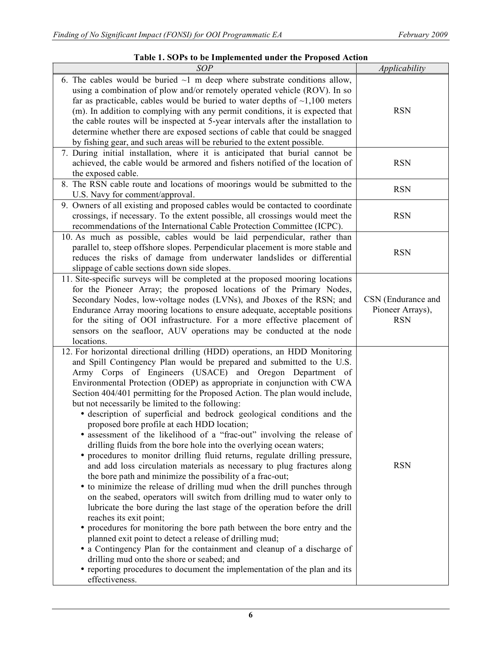# **Table 1. SOPs to be Implemented under the Proposed Action**

| <b>SOP</b>                                                                                                                                                                                                                                                                                                                                                                                                                                                                                                                                                                                                                                                                                                                                                                                                                                                                                                                                                                                                                                                                                                                                                                                                                                                                                                                                                                                                                                                                                                                                                     | Applicability                                        |
|----------------------------------------------------------------------------------------------------------------------------------------------------------------------------------------------------------------------------------------------------------------------------------------------------------------------------------------------------------------------------------------------------------------------------------------------------------------------------------------------------------------------------------------------------------------------------------------------------------------------------------------------------------------------------------------------------------------------------------------------------------------------------------------------------------------------------------------------------------------------------------------------------------------------------------------------------------------------------------------------------------------------------------------------------------------------------------------------------------------------------------------------------------------------------------------------------------------------------------------------------------------------------------------------------------------------------------------------------------------------------------------------------------------------------------------------------------------------------------------------------------------------------------------------------------------|------------------------------------------------------|
| 6. The cables would be buried $\sim$ 1 m deep where substrate conditions allow,<br>using a combination of plow and/or remotely operated vehicle (ROV). In so<br>far as practicable, cables would be buried to water depths of $\sim$ 1,100 meters<br>(m). In addition to complying with any permit conditions, it is expected that<br>the cable routes will be inspected at 5-year intervals after the installation to<br>determine whether there are exposed sections of cable that could be snagged<br>by fishing gear, and such areas will be reburied to the extent possible.                                                                                                                                                                                                                                                                                                                                                                                                                                                                                                                                                                                                                                                                                                                                                                                                                                                                                                                                                                              | <b>RSN</b>                                           |
| 7. During initial installation, where it is anticipated that burial cannot be<br>achieved, the cable would be armored and fishers notified of the location of<br>the exposed cable.                                                                                                                                                                                                                                                                                                                                                                                                                                                                                                                                                                                                                                                                                                                                                                                                                                                                                                                                                                                                                                                                                                                                                                                                                                                                                                                                                                            | <b>RSN</b>                                           |
| 8. The RSN cable route and locations of moorings would be submitted to the<br>U.S. Navy for comment/approval.                                                                                                                                                                                                                                                                                                                                                                                                                                                                                                                                                                                                                                                                                                                                                                                                                                                                                                                                                                                                                                                                                                                                                                                                                                                                                                                                                                                                                                                  | <b>RSN</b>                                           |
| 9. Owners of all existing and proposed cables would be contacted to coordinate<br>crossings, if necessary. To the extent possible, all crossings would meet the<br>recommendations of the International Cable Protection Committee (ICPC).                                                                                                                                                                                                                                                                                                                                                                                                                                                                                                                                                                                                                                                                                                                                                                                                                                                                                                                                                                                                                                                                                                                                                                                                                                                                                                                     | <b>RSN</b>                                           |
| 10. As much as possible, cables would be laid perpendicular, rather than<br>parallel to, steep offshore slopes. Perpendicular placement is more stable and<br>reduces the risks of damage from underwater landslides or differential<br>slippage of cable sections down side slopes.                                                                                                                                                                                                                                                                                                                                                                                                                                                                                                                                                                                                                                                                                                                                                                                                                                                                                                                                                                                                                                                                                                                                                                                                                                                                           | <b>RSN</b>                                           |
| 11. Site-specific surveys will be completed at the proposed mooring locations<br>for the Pioneer Array; the proposed locations of the Primary Nodes,<br>Secondary Nodes, low-voltage nodes (LVNs), and Jboxes of the RSN; and<br>Endurance Array mooring locations to ensure adequate, acceptable positions<br>for the siting of OOI infrastructure. For a more effective placement of<br>sensors on the seafloor, AUV operations may be conducted at the node<br>locations.                                                                                                                                                                                                                                                                                                                                                                                                                                                                                                                                                                                                                                                                                                                                                                                                                                                                                                                                                                                                                                                                                   | CSN (Endurance and<br>Pioneer Arrays),<br><b>RSN</b> |
| 12. For horizontal directional drilling (HDD) operations, an HDD Monitoring<br>and Spill Contingency Plan would be prepared and submitted to the U.S.<br>Army Corps of Engineers (USACE) and Oregon Department of<br>Environmental Protection (ODEP) as appropriate in conjunction with CWA<br>Section 404/401 permitting for the Proposed Action. The plan would include,<br>but not necessarily be limited to the following:<br>· description of superficial and bedrock geological conditions and the<br>proposed bore profile at each HDD location;<br>• assessment of the likelihood of a "frac-out" involving the release of<br>drilling fluids from the bore hole into the overlying ocean waters;<br>• procedures to monitor drilling fluid returns, regulate drilling pressure,<br>and add loss circulation materials as necessary to plug fractures along<br>the bore path and minimize the possibility of a frac-out;<br>• to minimize the release of drilling mud when the drill punches through<br>on the seabed, operators will switch from drilling mud to water only to<br>lubricate the bore during the last stage of the operation before the drill<br>reaches its exit point;<br>• procedures for monitoring the bore path between the bore entry and the<br>planned exit point to detect a release of drilling mud;<br>• a Contingency Plan for the containment and cleanup of a discharge of<br>drilling mud onto the shore or seabed; and<br>• reporting procedures to document the implementation of the plan and its<br>effectiveness. | <b>RSN</b>                                           |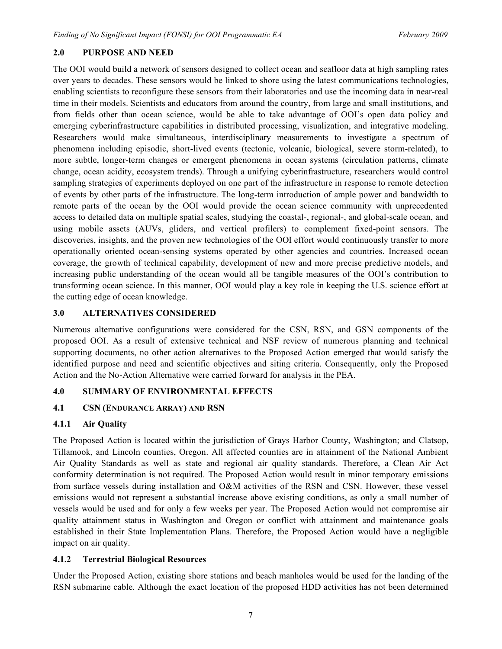## **2.0 PURPOSE AND NEED**

The OOI would build a network of sensors designed to collect ocean and seafloor data at high sampling rates over years to decades. These sensors would be linked to shore using the latest communications technologies, enabling scientists to reconfigure these sensors from their laboratories and use the incoming data in near-real time in their models. Scientists and educators from around the country, from large and small institutions, and from fields other than ocean science, would be able to take advantage of OOI's open data policy and emerging cyberinfrastructure capabilities in distributed processing, visualization, and integrative modeling. Researchers would make simultaneous, interdisciplinary measurements to investigate a spectrum of phenomena including episodic, short-lived events (tectonic, volcanic, biological, severe storm-related), to more subtle, longer-term changes or emergent phenomena in ocean systems (circulation patterns, climate change, ocean acidity, ecosystem trends). Through a unifying cyberinfrastructure, researchers would control sampling strategies of experiments deployed on one part of the infrastructure in response to remote detection of events by other parts of the infrastructure. The long-term introduction of ample power and bandwidth to remote parts of the ocean by the OOI would provide the ocean science community with unprecedented access to detailed data on multiple spatial scales, studying the coastal-, regional-, and global-scale ocean, and using mobile assets (AUVs, gliders, and vertical profilers) to complement fixed-point sensors. The discoveries, insights, and the proven new technologies of the OOI effort would continuously transfer to more operationally oriented ocean-sensing systems operated by other agencies and countries. Increased ocean coverage, the growth of technical capability, development of new and more precise predictive models, and increasing public understanding of the ocean would all be tangible measures of the OOI's contribution to transforming ocean science. In this manner, OOI would play a key role in keeping the U.S. science effort at the cutting edge of ocean knowledge.

#### **3.0 ALTERNATIVES CONSIDERED**

Numerous alternative configurations were considered for the CSN, RSN, and GSN components of the proposed OOI. As a result of extensive technical and NSF review of numerous planning and technical supporting documents, no other action alternatives to the Proposed Action emerged that would satisfy the identified purpose and need and scientific objectives and siting criteria. Consequently, only the Proposed Action and the No-Action Alternative were carried forward for analysis in the PEA.

## **4.0 SUMMARY OF ENVIRONMENTAL EFFECTS**

## **4.1 CSN (ENDURANCE ARRAY) AND RSN**

## **4.1.1 Air Quality**

The Proposed Action is located within the jurisdiction of Grays Harbor County, Washington; and Clatsop, Tillamook, and Lincoln counties, Oregon. All affected counties are in attainment of the National Ambient Air Quality Standards as well as state and regional air quality standards. Therefore, a Clean Air Act conformity determination is not required. The Proposed Action would result in minor temporary emissions from surface vessels during installation and O&M activities of the RSN and CSN. However, these vessel emissions would not represent a substantial increase above existing conditions, as only a small number of vessels would be used and for only a few weeks per year. The Proposed Action would not compromise air quality attainment status in Washington and Oregon or conflict with attainment and maintenance goals established in their State Implementation Plans. Therefore, the Proposed Action would have a negligible impact on air quality.

## **4.1.2 Terrestrial Biological Resources**

Under the Proposed Action, existing shore stations and beach manholes would be used for the landing of the RSN submarine cable. Although the exact location of the proposed HDD activities has not been determined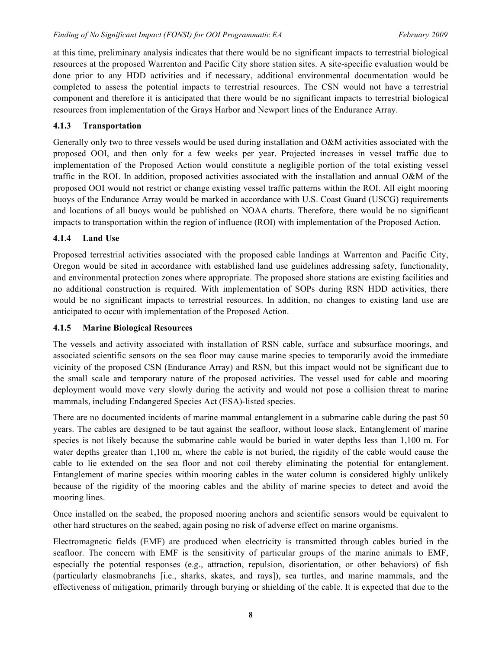at this time, preliminary analysis indicates that there would be no significant impacts to terrestrial biological resources at the proposed Warrenton and Pacific City shore station sites. A site-specific evaluation would be done prior to any HDD activities and if necessary, additional environmental documentation would be completed to assess the potential impacts to terrestrial resources. The CSN would not have a terrestrial component and therefore it is anticipated that there would be no significant impacts to terrestrial biological resources from implementation of the Grays Harbor and Newport lines of the Endurance Array.

# **4.1.3 Transportation**

Generally only two to three vessels would be used during installation and O&M activities associated with the proposed OOI, and then only for a few weeks per year. Projected increases in vessel traffic due to implementation of the Proposed Action would constitute a negligible portion of the total existing vessel traffic in the ROI. In addition, proposed activities associated with the installation and annual O&M of the proposed OOI would not restrict or change existing vessel traffic patterns within the ROI. All eight mooring buoys of the Endurance Array would be marked in accordance with U.S. Coast Guard (USCG) requirements and locations of all buoys would be published on NOAA charts. Therefore, there would be no significant impacts to transportation within the region of influence (ROI) with implementation of the Proposed Action.

# **4.1.4 Land Use**

Proposed terrestrial activities associated with the proposed cable landings at Warrenton and Pacific City, Oregon would be sited in accordance with established land use guidelines addressing safety, functionality, and environmental protection zones where appropriate. The proposed shore stations are existing facilities and no additional construction is required. With implementation of SOPs during RSN HDD activities, there would be no significant impacts to terrestrial resources. In addition, no changes to existing land use are anticipated to occur with implementation of the Proposed Action.

## **4.1.5 Marine Biological Resources**

The vessels and activity associated with installation of RSN cable, surface and subsurface moorings, and associated scientific sensors on the sea floor may cause marine species to temporarily avoid the immediate vicinity of the proposed CSN (Endurance Array) and RSN, but this impact would not be significant due to the small scale and temporary nature of the proposed activities. The vessel used for cable and mooring deployment would move very slowly during the activity and would not pose a collision threat to marine mammals, including Endangered Species Act (ESA)-listed species.

There are no documented incidents of marine mammal entanglement in a submarine cable during the past 50 years. The cables are designed to be taut against the seafloor, without loose slack, Entanglement of marine species is not likely because the submarine cable would be buried in water depths less than 1,100 m. For water depths greater than 1,100 m, where the cable is not buried, the rigidity of the cable would cause the cable to lie extended on the sea floor and not coil thereby eliminating the potential for entanglement. Entanglement of marine species within mooring cables in the water column is considered highly unlikely because of the rigidity of the mooring cables and the ability of marine species to detect and avoid the mooring lines.

Once installed on the seabed, the proposed mooring anchors and scientific sensors would be equivalent to other hard structures on the seabed, again posing no risk of adverse effect on marine organisms.

Electromagnetic fields (EMF) are produced when electricity is transmitted through cables buried in the seafloor. The concern with EMF is the sensitivity of particular groups of the marine animals to EMF, especially the potential responses (e.g., attraction, repulsion, disorientation, or other behaviors) of fish (particularly elasmobranchs [i.e., sharks, skates, and rays]), sea turtles, and marine mammals, and the effectiveness of mitigation, primarily through burying or shielding of the cable. It is expected that due to the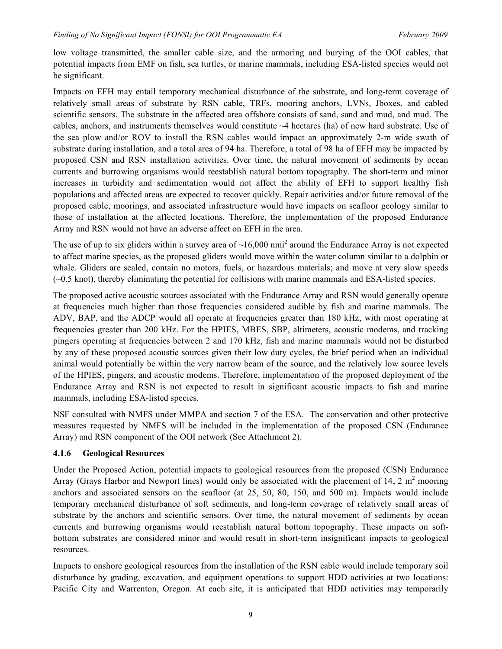low voltage transmitted, the smaller cable size, and the armoring and burying of the OOI cables, that potential impacts from EMF on fish, sea turtles, or marine mammals, including ESA-listed species would not be significant.

Impacts on EFH may entail temporary mechanical disturbance of the substrate, and long-term coverage of relatively small areas of substrate by RSN cable, TRFs, mooring anchors, LVNs, Jboxes, and cabled scientific sensors. The substrate in the affected area offshore consists of sand, sand and mud, and mud. The cables, anchors, and instruments themselves would constitute ~4 hectares (ha) of new hard substrate. Use of the sea plow and/or ROV to install the RSN cables would impact an approximately 2-m wide swath of substrate during installation, and a total area of 94 ha. Therefore, a total of 98 ha of EFH may be impacted by proposed CSN and RSN installation activities. Over time, the natural movement of sediments by ocean currents and burrowing organisms would reestablish natural bottom topography. The short-term and minor increases in turbidity and sedimentation would not affect the ability of EFH to support healthy fish populations and affected areas are expected to recover quickly. Repair activities and/or future removal of the proposed cable, moorings, and associated infrastructure would have impacts on seafloor geology similar to those of installation at the affected locations. Therefore, the implementation of the proposed Endurance Array and RSN would not have an adverse affect on EFH in the area.

The use of up to six gliders within a survey area of  $\sim 16,000$  nmi<sup>2</sup> around the Endurance Array is not expected to affect marine species, as the proposed gliders would move within the water column similar to a dolphin or whale. Gliders are sealed, contain no motors, fuels, or hazardous materials; and move at very slow speeds (~0.5 knot), thereby eliminating the potential for collisions with marine mammals and ESA-listed species.

The proposed active acoustic sources associated with the Endurance Array and RSN would generally operate at frequencies much higher than those frequencies considered audible by fish and marine mammals. The ADV, BAP, and the ADCP would all operate at frequencies greater than 180 kHz, with most operating at frequencies greater than 200 kHz. For the HPIES, MBES, SBP, altimeters, acoustic modems, and tracking pingers operating at frequencies between 2 and 170 kHz, fish and marine mammals would not be disturbed by any of these proposed acoustic sources given their low duty cycles, the brief period when an individual animal would potentially be within the very narrow beam of the source, and the relatively low source levels of the HPIES, pingers, and acoustic modems. Therefore, implementation of the proposed deployment of the Endurance Array and RSN is not expected to result in significant acoustic impacts to fish and marine mammals, including ESA-listed species.

NSF consulted with NMFS under MMPA and section 7 of the ESA. The conservation and other protective measures requested by NMFS will be included in the implementation of the proposed CSN (Endurance Array) and RSN component of the OOI network (See Attachment 2).

## **4.1.6 Geological Resources**

Under the Proposed Action, potential impacts to geological resources from the proposed (CSN) Endurance Array (Grays Harbor and Newport lines) would only be associated with the placement of 14, 2  $m<sup>2</sup>$  mooring anchors and associated sensors on the seafloor (at 25, 50, 80, 150, and 500 m). Impacts would include temporary mechanical disturbance of soft sediments, and long-term coverage of relatively small areas of substrate by the anchors and scientific sensors. Over time, the natural movement of sediments by ocean currents and burrowing organisms would reestablish natural bottom topography. These impacts on softbottom substrates are considered minor and would result in short-term insignificant impacts to geological resources.

Impacts to onshore geological resources from the installation of the RSN cable would include temporary soil disturbance by grading, excavation, and equipment operations to support HDD activities at two locations: Pacific City and Warrenton, Oregon. At each site, it is anticipated that HDD activities may temporarily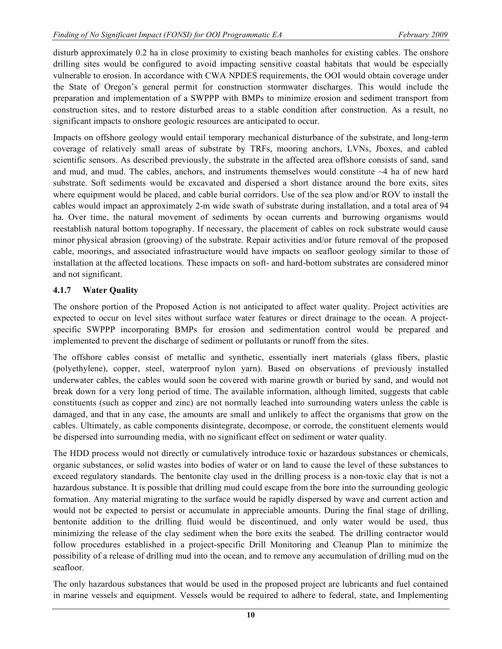disturb approximately 0.2 ha in close proximity to existing beach manholes for existing cables. The onshore drilling sites would be configured to avoid impacting sensitive coastal habitats that would be especially vulnerable to erosion. In accordance with CWA NPDES requirements, the OOI would obtain coverage under the State of Oregon's general permit for construction stormwater discharges. This would include the preparation and implementation of a SWPPP with BMPs to minimize erosion and sediment transport from construction sites, and to restore disturbed areas to a stable condition after construction. As a result, no significant impacts to onshore geologic resources are anticipated to occur.

Impacts on offshore geology would entail temporary mechanical disturbance of the substrate, and long-term coverage of relatively small areas of substrate by TRFs, mooring anchors, LVNs, Jboxes, and cabled scientific sensors. As described previously, the substrate in the affected area offshore consists of sand, sand and mud, and mud. The cables, anchors, and instruments themselves would constitute ~4 ha of new hard substrate. Soft sediments would be excavated and dispersed a short distance around the bore exits, sites where equipment would be placed, and cable burial corridors. Use of the sea plow and/or ROV to install the cables would impact an approximately 2-m wide swath of substrate during installation, and a total area of 94 ha. Over time, the natural movement of sediments by ocean currents and burrowing organisms would reestablish natural bottom topography. If necessary, the placement of cables on rock substrate would cause minor physical abrasion (grooving) of the substrate. Repair activities and/or future removal of the proposed cable, moorings, and associated infrastructure would have impacts on seafloor geology similar to those of installation at the affected locations. These impacts on soft- and hard-bottom substrates are considered minor and not significant.

## **4.1.7 Water Quality**

The onshore portion of the Proposed Action is not anticipated to affect water quality. Project activities are expected to occur on level sites without surface water features or direct drainage to the ocean. A projectspecific SWPPP incorporating BMPs for erosion and sedimentation control would be prepared and implemented to prevent the discharge of sediment or pollutants or runoff from the sites.

The offshore cables consist of metallic and synthetic, essentially inert materials (glass fibers, plastic (polyethylene), copper, steel, waterproof nylon yarn). Based on observations of previously installed underwater cables, the cables would soon be covered with marine growth or buried by sand, and would not break down for a very long period of time. The available information, although limited, suggests that cable constituents (such as copper and zinc) are not normally leached into surrounding waters unless the cable is damaged, and that in any case, the amounts are small and unlikely to affect the organisms that grow on the cables. Ultimately, as cable components disintegrate, decompose, or corrode, the constituent elements would be dispersed into surrounding media, with no significant effect on sediment or water quality.

The HDD process would not directly or cumulatively introduce toxic or hazardous substances or chemicals, organic substances, or solid wastes into bodies of water or on land to cause the level of these substances to exceed regulatory standards. The bentonite clay used in the drilling process is a non-toxic clay that is not a hazardous substance. It is possible that drilling mud could escape from the bore into the surrounding geologic formation. Any material migrating to the surface would be rapidly dispersed by wave and current action and would not be expected to persist or accumulate in appreciable amounts. During the final stage of drilling, bentonite addition to the drilling fluid would be discontinued, and only water would be used, thus minimizing the release of the clay sediment when the bore exits the seabed. The drilling contractor would follow procedures established in a project-specific Drill Monitoring and Cleanup Plan to minimize the possibility of a release of drilling mud into the ocean, and to remove any accumulation of drilling mud on the seafloor.

The only hazardous substances that would be used in the proposed project are lubricants and fuel contained in marine vessels and equipment. Vessels would be required to adhere to federal, state, and Implementing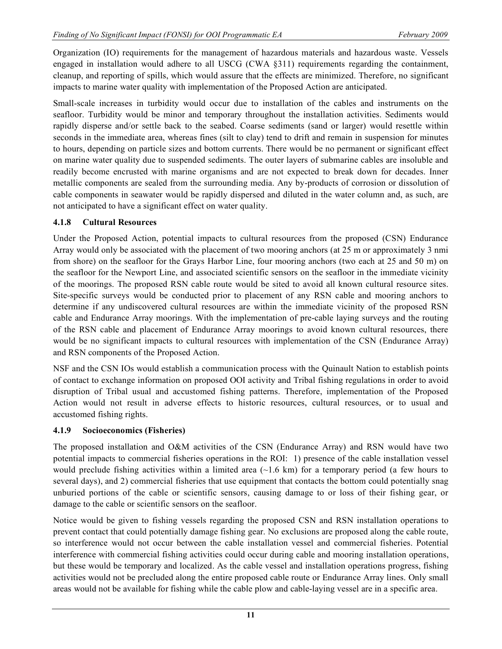Organization (IO) requirements for the management of hazardous materials and hazardous waste. Vessels engaged in installation would adhere to all USCG (CWA §311) requirements regarding the containment, cleanup, and reporting of spills, which would assure that the effects are minimized. Therefore, no significant impacts to marine water quality with implementation of the Proposed Action are anticipated.

Small-scale increases in turbidity would occur due to installation of the cables and instruments on the seafloor. Turbidity would be minor and temporary throughout the installation activities. Sediments would rapidly disperse and/or settle back to the seabed. Coarse sediments (sand or larger) would resettle within seconds in the immediate area, whereas fines (silt to clay) tend to drift and remain in suspension for minutes to hours, depending on particle sizes and bottom currents. There would be no permanent or significant effect on marine water quality due to suspended sediments. The outer layers of submarine cables are insoluble and readily become encrusted with marine organisms and are not expected to break down for decades. Inner metallic components are sealed from the surrounding media. Any by-products of corrosion or dissolution of cable components in seawater would be rapidly dispersed and diluted in the water column and, as such, are not anticipated to have a significant effect on water quality.

## **4.1.8 Cultural Resources**

Under the Proposed Action, potential impacts to cultural resources from the proposed (CSN) Endurance Array would only be associated with the placement of two mooring anchors (at 25 m or approximately 3 nmi from shore) on the seafloor for the Grays Harbor Line, four mooring anchors (two each at 25 and 50 m) on the seafloor for the Newport Line, and associated scientific sensors on the seafloor in the immediate vicinity of the moorings. The proposed RSN cable route would be sited to avoid all known cultural resource sites. Site-specific surveys would be conducted prior to placement of any RSN cable and mooring anchors to determine if any undiscovered cultural resources are within the immediate vicinity of the proposed RSN cable and Endurance Array moorings. With the implementation of pre-cable laying surveys and the routing of the RSN cable and placement of Endurance Array moorings to avoid known cultural resources, there would be no significant impacts to cultural resources with implementation of the CSN (Endurance Array) and RSN components of the Proposed Action.

NSF and the CSN IOs would establish a communication process with the Quinault Nation to establish points of contact to exchange information on proposed OOI activity and Tribal fishing regulations in order to avoid disruption of Tribal usual and accustomed fishing patterns. Therefore, implementation of the Proposed Action would not result in adverse effects to historic resources, cultural resources, or to usual and accustomed fishing rights.

## **4.1.9 Socioeconomics (Fisheries)**

The proposed installation and O&M activities of the CSN (Endurance Array) and RSN would have two potential impacts to commercial fisheries operations in the ROI: 1) presence of the cable installation vessel would preclude fishing activities within a limited area  $(\sim 1.6 \text{ km})$  for a temporary period (a few hours to several days), and 2) commercial fisheries that use equipment that contacts the bottom could potentially snag unburied portions of the cable or scientific sensors, causing damage to or loss of their fishing gear, or damage to the cable or scientific sensors on the seafloor.

Notice would be given to fishing vessels regarding the proposed CSN and RSN installation operations to prevent contact that could potentially damage fishing gear. No exclusions are proposed along the cable route, so interference would not occur between the cable installation vessel and commercial fisheries. Potential interference with commercial fishing activities could occur during cable and mooring installation operations, but these would be temporary and localized. As the cable vessel and installation operations progress, fishing activities would not be precluded along the entire proposed cable route or Endurance Array lines. Only small areas would not be available for fishing while the cable plow and cable-laying vessel are in a specific area.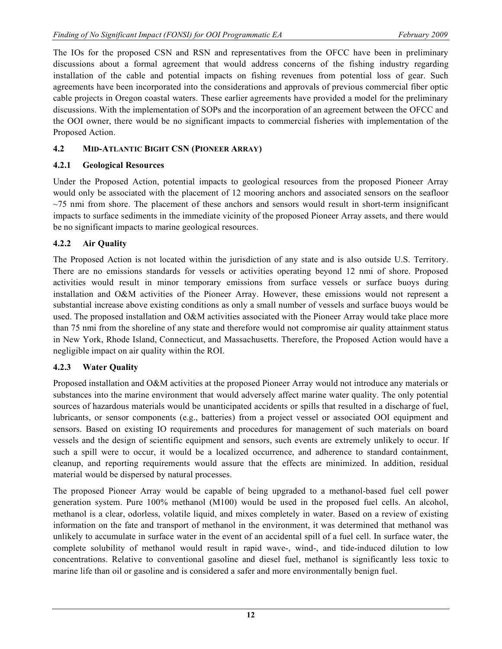The IOs for the proposed CSN and RSN and representatives from the OFCC have been in preliminary discussions about a formal agreement that would address concerns of the fishing industry regarding installation of the cable and potential impacts on fishing revenues from potential loss of gear. Such agreements have been incorporated into the considerations and approvals of previous commercial fiber optic cable projects in Oregon coastal waters. These earlier agreements have provided a model for the preliminary discussions. With the implementation of SOPs and the incorporation of an agreement between the OFCC and the OOI owner, there would be no significant impacts to commercial fisheries with implementation of the Proposed Action.

# **4.2 MID-ATLANTIC BIGHT CSN (PIONEER ARRAY)**

# **4.2.1 Geological Resources**

Under the Proposed Action, potential impacts to geological resources from the proposed Pioneer Array would only be associated with the placement of 12 mooring anchors and associated sensors on the seafloor  $\sim$ 75 nmi from shore. The placement of these anchors and sensors would result in short-term insignificant impacts to surface sediments in the immediate vicinity of the proposed Pioneer Array assets, and there would be no significant impacts to marine geological resources.

# **4.2.2 Air Quality**

The Proposed Action is not located within the jurisdiction of any state and is also outside U.S. Territory. There are no emissions standards for vessels or activities operating beyond 12 nmi of shore. Proposed activities would result in minor temporary emissions from surface vessels or surface buoys during installation and O&M activities of the Pioneer Array. However, these emissions would not represent a substantial increase above existing conditions as only a small number of vessels and surface buoys would be used. The proposed installation and O&M activities associated with the Pioneer Array would take place more than 75 nmi from the shoreline of any state and therefore would not compromise air quality attainment status in New York, Rhode Island, Connecticut, and Massachusetts. Therefore, the Proposed Action would have a negligible impact on air quality within the ROI.

# **4.2.3 Water Quality**

Proposed installation and O&M activities at the proposed Pioneer Array would not introduce any materials or substances into the marine environment that would adversely affect marine water quality. The only potential sources of hazardous materials would be unanticipated accidents or spills that resulted in a discharge of fuel, lubricants, or sensor components (e.g., batteries) from a project vessel or associated OOI equipment and sensors. Based on existing IO requirements and procedures for management of such materials on board vessels and the design of scientific equipment and sensors, such events are extremely unlikely to occur. If such a spill were to occur, it would be a localized occurrence, and adherence to standard containment, cleanup, and reporting requirements would assure that the effects are minimized. In addition, residual material would be dispersed by natural processes.

The proposed Pioneer Array would be capable of being upgraded to a methanol-based fuel cell power generation system. Pure 100% methanol (M100) would be used in the proposed fuel cells. An alcohol, methanol is a clear, odorless, volatile liquid, and mixes completely in water. Based on a review of existing information on the fate and transport of methanol in the environment, it was determined that methanol was unlikely to accumulate in surface water in the event of an accidental spill of a fuel cell. In surface water, the complete solubility of methanol would result in rapid wave-, wind-, and tide-induced dilution to low concentrations. Relative to conventional gasoline and diesel fuel, methanol is significantly less toxic to marine life than oil or gasoline and is considered a safer and more environmentally benign fuel.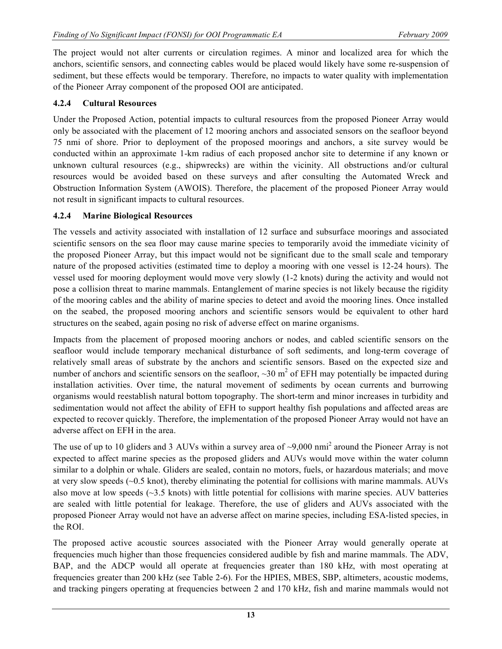The project would not alter currents or circulation regimes. A minor and localized area for which the anchors, scientific sensors, and connecting cables would be placed would likely have some re-suspension of sediment, but these effects would be temporary. Therefore, no impacts to water quality with implementation of the Pioneer Array component of the proposed OOI are anticipated.

# **4.2.4 Cultural Resources**

Under the Proposed Action, potential impacts to cultural resources from the proposed Pioneer Array would only be associated with the placement of 12 mooring anchors and associated sensors on the seafloor beyond 75 nmi of shore. Prior to deployment of the proposed moorings and anchors, a site survey would be conducted within an approximate 1-km radius of each proposed anchor site to determine if any known or unknown cultural resources (e.g., shipwrecks) are within the vicinity. All obstructions and/or cultural resources would be avoided based on these surveys and after consulting the Automated Wreck and Obstruction Information System (AWOIS). Therefore, the placement of the proposed Pioneer Array would not result in significant impacts to cultural resources.

## **4.2.4 Marine Biological Resources**

The vessels and activity associated with installation of 12 surface and subsurface moorings and associated scientific sensors on the sea floor may cause marine species to temporarily avoid the immediate vicinity of the proposed Pioneer Array, but this impact would not be significant due to the small scale and temporary nature of the proposed activities (estimated time to deploy a mooring with one vessel is 12-24 hours). The vessel used for mooring deployment would move very slowly (1-2 knots) during the activity and would not pose a collision threat to marine mammals. Entanglement of marine species is not likely because the rigidity of the mooring cables and the ability of marine species to detect and avoid the mooring lines. Once installed on the seabed, the proposed mooring anchors and scientific sensors would be equivalent to other hard structures on the seabed, again posing no risk of adverse effect on marine organisms.

Impacts from the placement of proposed mooring anchors or nodes, and cabled scientific sensors on the seafloor would include temporary mechanical disturbance of soft sediments, and long-term coverage of relatively small areas of substrate by the anchors and scientific sensors. Based on the expected size and number of anchors and scientific sensors on the seafloor,  $\sim$ 30 m<sup>2</sup> of EFH may potentially be impacted during installation activities. Over time, the natural movement of sediments by ocean currents and burrowing organisms would reestablish natural bottom topography. The short-term and minor increases in turbidity and sedimentation would not affect the ability of EFH to support healthy fish populations and affected areas are expected to recover quickly. Therefore, the implementation of the proposed Pioneer Array would not have an adverse affect on EFH in the area.

The use of up to 10 gliders and 3 AUVs within a survey area of  $\sim$ 9,000 nmi<sup>2</sup> around the Pioneer Array is not expected to affect marine species as the proposed gliders and AUVs would move within the water column similar to a dolphin or whale. Gliders are sealed, contain no motors, fuels, or hazardous materials; and move at very slow speeds (~0.5 knot), thereby eliminating the potential for collisions with marine mammals. AUVs also move at low speeds  $(\sim3.5 \text{ knots})$  with little potential for collisions with marine species. AUV batteries are sealed with little potential for leakage. Therefore, the use of gliders and AUVs associated with the proposed Pioneer Array would not have an adverse affect on marine species, including ESA-listed species, in the ROI.

The proposed active acoustic sources associated with the Pioneer Array would generally operate at frequencies much higher than those frequencies considered audible by fish and marine mammals. The ADV, BAP, and the ADCP would all operate at frequencies greater than 180 kHz, with most operating at frequencies greater than 200 kHz (see Table 2-6). For the HPIES, MBES, SBP, altimeters, acoustic modems, and tracking pingers operating at frequencies between 2 and 170 kHz, fish and marine mammals would not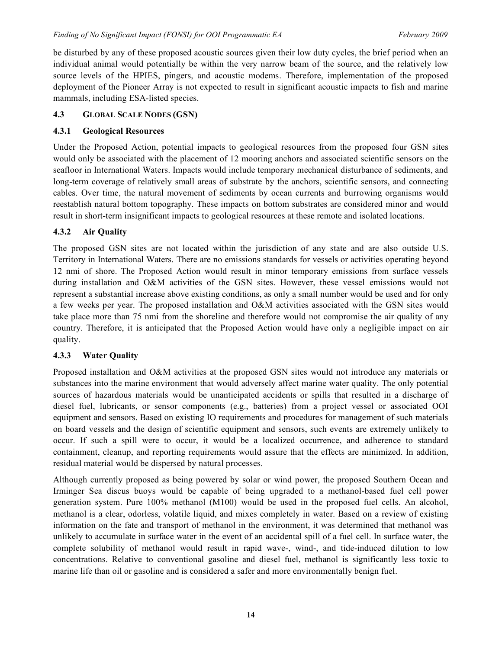be disturbed by any of these proposed acoustic sources given their low duty cycles, the brief period when an individual animal would potentially be within the very narrow beam of the source, and the relatively low source levels of the HPIES, pingers, and acoustic modems. Therefore, implementation of the proposed deployment of the Pioneer Array is not expected to result in significant acoustic impacts to fish and marine mammals, including ESA-listed species.

# **4.3 GLOBAL SCALE NODES (GSN)**

# **4.3.1 Geological Resources**

Under the Proposed Action, potential impacts to geological resources from the proposed four GSN sites would only be associated with the placement of 12 mooring anchors and associated scientific sensors on the seafloor in International Waters. Impacts would include temporary mechanical disturbance of sediments, and long-term coverage of relatively small areas of substrate by the anchors, scientific sensors, and connecting cables. Over time, the natural movement of sediments by ocean currents and burrowing organisms would reestablish natural bottom topography. These impacts on bottom substrates are considered minor and would result in short-term insignificant impacts to geological resources at these remote and isolated locations.

# **4.3.2 Air Quality**

The proposed GSN sites are not located within the jurisdiction of any state and are also outside U.S. Territory in International Waters. There are no emissions standards for vessels or activities operating beyond 12 nmi of shore. The Proposed Action would result in minor temporary emissions from surface vessels during installation and O&M activities of the GSN sites. However, these vessel emissions would not represent a substantial increase above existing conditions, as only a small number would be used and for only a few weeks per year. The proposed installation and O&M activities associated with the GSN sites would take place more than 75 nmi from the shoreline and therefore would not compromise the air quality of any country. Therefore, it is anticipated that the Proposed Action would have only a negligible impact on air quality.

# **4.3.3 Water Quality**

Proposed installation and O&M activities at the proposed GSN sites would not introduce any materials or substances into the marine environment that would adversely affect marine water quality. The only potential sources of hazardous materials would be unanticipated accidents or spills that resulted in a discharge of diesel fuel, lubricants, or sensor components (e.g., batteries) from a project vessel or associated OOI equipment and sensors. Based on existing IO requirements and procedures for management of such materials on board vessels and the design of scientific equipment and sensors, such events are extremely unlikely to occur. If such a spill were to occur, it would be a localized occurrence, and adherence to standard containment, cleanup, and reporting requirements would assure that the effects are minimized. In addition, residual material would be dispersed by natural processes.

Although currently proposed as being powered by solar or wind power, the proposed Southern Ocean and Irminger Sea discus buoys would be capable of being upgraded to a methanol-based fuel cell power generation system. Pure 100% methanol (M100) would be used in the proposed fuel cells. An alcohol, methanol is a clear, odorless, volatile liquid, and mixes completely in water. Based on a review of existing information on the fate and transport of methanol in the environment, it was determined that methanol was unlikely to accumulate in surface water in the event of an accidental spill of a fuel cell. In surface water, the complete solubility of methanol would result in rapid wave-, wind-, and tide-induced dilution to low concentrations. Relative to conventional gasoline and diesel fuel, methanol is significantly less toxic to marine life than oil or gasoline and is considered a safer and more environmentally benign fuel.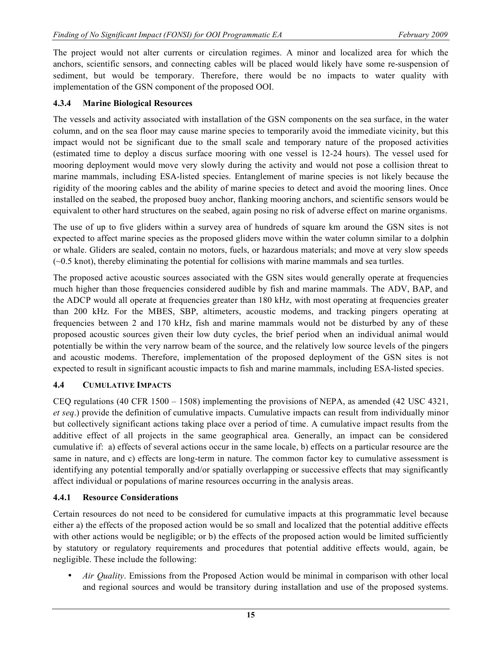The project would not alter currents or circulation regimes. A minor and localized area for which the anchors, scientific sensors, and connecting cables will be placed would likely have some re-suspension of sediment, but would be temporary. Therefore, there would be no impacts to water quality with implementation of the GSN component of the proposed OOI.

#### **4.3.4 Marine Biological Resources**

The vessels and activity associated with installation of the GSN components on the sea surface, in the water column, and on the sea floor may cause marine species to temporarily avoid the immediate vicinity, but this impact would not be significant due to the small scale and temporary nature of the proposed activities (estimated time to deploy a discus surface mooring with one vessel is 12-24 hours). The vessel used for mooring deployment would move very slowly during the activity and would not pose a collision threat to marine mammals, including ESA-listed species. Entanglement of marine species is not likely because the rigidity of the mooring cables and the ability of marine species to detect and avoid the mooring lines. Once installed on the seabed, the proposed buoy anchor, flanking mooring anchors, and scientific sensors would be equivalent to other hard structures on the seabed, again posing no risk of adverse effect on marine organisms.

The use of up to five gliders within a survey area of hundreds of square km around the GSN sites is not expected to affect marine species as the proposed gliders move within the water column similar to a dolphin or whale. Gliders are sealed, contain no motors, fuels, or hazardous materials; and move at very slow speeds (~0.5 knot), thereby eliminating the potential for collisions with marine mammals and sea turtles.

The proposed active acoustic sources associated with the GSN sites would generally operate at frequencies much higher than those frequencies considered audible by fish and marine mammals. The ADV, BAP, and the ADCP would all operate at frequencies greater than 180 kHz, with most operating at frequencies greater than 200 kHz. For the MBES, SBP, altimeters, acoustic modems, and tracking pingers operating at frequencies between 2 and 170 kHz, fish and marine mammals would not be disturbed by any of these proposed acoustic sources given their low duty cycles, the brief period when an individual animal would potentially be within the very narrow beam of the source, and the relatively low source levels of the pingers and acoustic modems. Therefore, implementation of the proposed deployment of the GSN sites is not expected to result in significant acoustic impacts to fish and marine mammals, including ESA-listed species.

## **4.4 CUMULATIVE IMPACTS**

CEQ regulations (40 CFR 1500 – 1508) implementing the provisions of NEPA, as amended (42 USC 4321, *et seq*.) provide the definition of cumulative impacts. Cumulative impacts can result from individually minor but collectively significant actions taking place over a period of time. A cumulative impact results from the additive effect of all projects in the same geographical area. Generally, an impact can be considered cumulative if: a) effects of several actions occur in the same locale, b) effects on a particular resource are the same in nature, and c) effects are long-term in nature. The common factor key to cumulative assessment is identifying any potential temporally and/or spatially overlapping or successive effects that may significantly affect individual or populations of marine resources occurring in the analysis areas.

#### **4.4.1 Resource Considerations**

Certain resources do not need to be considered for cumulative impacts at this programmatic level because either a) the effects of the proposed action would be so small and localized that the potential additive effects with other actions would be negligible; or b) the effects of the proposed action would be limited sufficiently by statutory or regulatory requirements and procedures that potential additive effects would, again, be negligible. These include the following:

• *Air Quality*. Emissions from the Proposed Action would be minimal in comparison with other local and regional sources and would be transitory during installation and use of the proposed systems.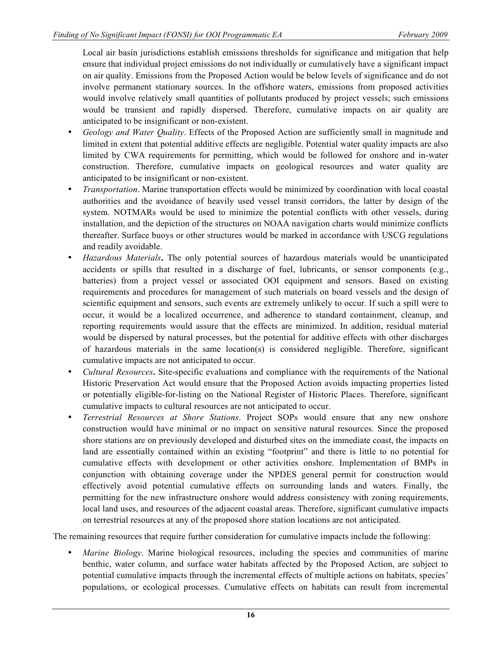Local air basin jurisdictions establish emissions thresholds for significance and mitigation that help ensure that individual project emissions do not individually or cumulatively have a significant impact on air quality. Emissions from the Proposed Action would be below levels of significance and do not involve permanent stationary sources. In the offshore waters, emissions from proposed activities would involve relatively small quantities of pollutants produced by project vessels; such emissions would be transient and rapidly dispersed. Therefore, cumulative impacts on air quality are anticipated to be insignificant or non-existent.

- *Geology and Water Quality*. Effects of the Proposed Action are sufficiently small in magnitude and limited in extent that potential additive effects are negligible. Potential water quality impacts are also limited by CWA requirements for permitting, which would be followed for onshore and in-water construction. Therefore, cumulative impacts on geological resources and water quality are anticipated to be insignificant or non-existent.
- *Transportation*. Marine transportation effects would be minimized by coordination with local coastal authorities and the avoidance of heavily used vessel transit corridors, the latter by design of the system. NOTMARs would be used to minimize the potential conflicts with other vessels, during installation, and the depiction of the structures on NOAA navigation charts would minimize conflicts thereafter. Surface buoys or other structures would be marked in accordance with USCG regulations and readily avoidable.
- *Hazardous Materials***.** The only potential sources of hazardous materials would be unanticipated accidents or spills that resulted in a discharge of fuel, lubricants, or sensor components (e.g., batteries) from a project vessel or associated OOI equipment and sensors. Based on existing requirements and procedures for management of such materials on board vessels and the design of scientific equipment and sensors, such events are extremely unlikely to occur. If such a spill were to occur, it would be a localized occurrence, and adherence to standard containment, cleanup, and reporting requirements would assure that the effects are minimized. In addition, residual material would be dispersed by natural processes, but the potential for additive effects with other discharges of hazardous materials in the same location(s) is considered negligible. Therefore, significant cumulative impacts are not anticipated to occur.
- *Cultural Resources***.** Site-specific evaluations and compliance with the requirements of the National Historic Preservation Act would ensure that the Proposed Action avoids impacting properties listed or potentially eligible-for-listing on the National Register of Historic Places. Therefore, significant cumulative impacts to cultural resources are not anticipated to occur.
- *Terrestrial Resources at Shore Stations*. Project SOPs would ensure that any new onshore construction would have minimal or no impact on sensitive natural resources. Since the proposed shore stations are on previously developed and disturbed sites on the immediate coast, the impacts on land are essentially contained within an existing "footprint" and there is little to no potential for cumulative effects with development or other activities onshore. Implementation of BMPs in conjunction with obtaining coverage under the NPDES general permit for construction would effectively avoid potential cumulative effects on surrounding lands and waters. Finally, the permitting for the new infrastructure onshore would address consistency with zoning requirements, local land uses, and resources of the adjacent coastal areas. Therefore, significant cumulative impacts on terrestrial resources at any of the proposed shore station locations are not anticipated.

The remaining resources that require further consideration for cumulative impacts include the following:

• *Marine Biology*. Marine biological resources, including the species and communities of marine benthic, water column, and surface water habitats affected by the Proposed Action, are subject to potential cumulative impacts through the incremental effects of multiple actions on habitats, species' populations, or ecological processes. Cumulative effects on habitats can result from incremental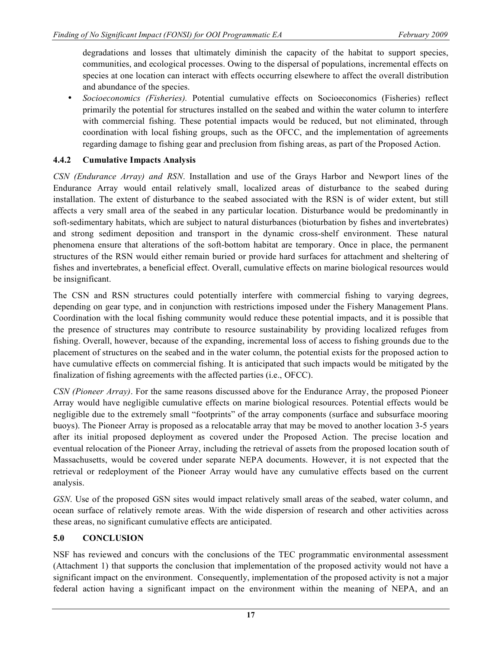degradations and losses that ultimately diminish the capacity of the habitat to support species, communities, and ecological processes. Owing to the dispersal of populations, incremental effects on species at one location can interact with effects occurring elsewhere to affect the overall distribution and abundance of the species.

• *Socioeconomics (Fisheries).* Potential cumulative effects on Socioeconomics (Fisheries) reflect primarily the potential for structures installed on the seabed and within the water column to interfere with commercial fishing. These potential impacts would be reduced, but not eliminated, through coordination with local fishing groups, such as the OFCC, and the implementation of agreements regarding damage to fishing gear and preclusion from fishing areas, as part of the Proposed Action.

# **4.4.2 Cumulative Impacts Analysis**

*CSN (Endurance Array) and RSN*. Installation and use of the Grays Harbor and Newport lines of the Endurance Array would entail relatively small, localized areas of disturbance to the seabed during installation. The extent of disturbance to the seabed associated with the RSN is of wider extent, but still affects a very small area of the seabed in any particular location. Disturbance would be predominantly in soft-sedimentary habitats, which are subject to natural disturbances (bioturbation by fishes and invertebrates) and strong sediment deposition and transport in the dynamic cross-shelf environment. These natural phenomena ensure that alterations of the soft-bottom habitat are temporary. Once in place, the permanent structures of the RSN would either remain buried or provide hard surfaces for attachment and sheltering of fishes and invertebrates, a beneficial effect. Overall, cumulative effects on marine biological resources would be insignificant.

The CSN and RSN structures could potentially interfere with commercial fishing to varying degrees, depending on gear type, and in conjunction with restrictions imposed under the Fishery Management Plans. Coordination with the local fishing community would reduce these potential impacts, and it is possible that the presence of structures may contribute to resource sustainability by providing localized refuges from fishing. Overall, however, because of the expanding, incremental loss of access to fishing grounds due to the placement of structures on the seabed and in the water column, the potential exists for the proposed action to have cumulative effects on commercial fishing. It is anticipated that such impacts would be mitigated by the finalization of fishing agreements with the affected parties (i.e., OFCC).

*CSN (Pioneer Array)*. For the same reasons discussed above for the Endurance Array, the proposed Pioneer Array would have negligible cumulative effects on marine biological resources. Potential effects would be negligible due to the extremely small "footprints" of the array components (surface and subsurface mooring buoys). The Pioneer Array is proposed as a relocatable array that may be moved to another location 3-5 years after its initial proposed deployment as covered under the Proposed Action. The precise location and eventual relocation of the Pioneer Array, including the retrieval of assets from the proposed location south of Massachusetts, would be covered under separate NEPA documents. However, it is not expected that the retrieval or redeployment of the Pioneer Array would have any cumulative effects based on the current analysis.

*GSN*. Use of the proposed GSN sites would impact relatively small areas of the seabed, water column, and ocean surface of relatively remote areas. With the wide dispersion of research and other activities across these areas, no significant cumulative effects are anticipated.

# **5.0 CONCLUSION**

NSF has reviewed and concurs with the conclusions of the TEC programmatic environmental assessment (Attachment 1) that supports the conclusion that implementation of the proposed activity would not have a significant impact on the environment. Consequently, implementation of the proposed activity is not a major federal action having a significant impact on the environment within the meaning of NEPA, and an